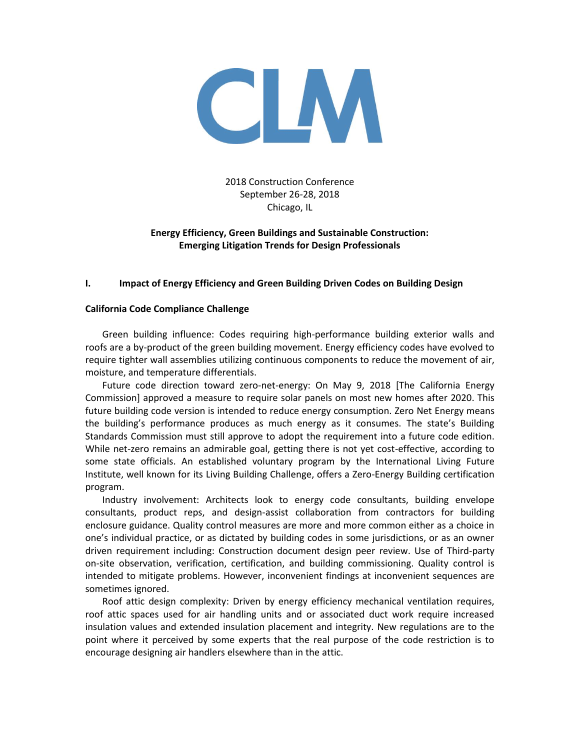

2018 Construction Conference September 26-28, 2018 Chicago, IL

# **Energy Efficiency, Green Buildings and Sustainable Construction: Emerging Litigation Trends for Design Professionals**

#### **I. Impact of Energy Efficiency and Green Building Driven Codes on Building Design**

#### **California Code Compliance Challenge**

Green building influence: Codes requiring high-performance building exterior walls and roofs are a by-product of the green building movement. Energy efficiency codes have evolved to require tighter wall assemblies utilizing continuous components to reduce the movement of air, moisture, and temperature differentials.

Future code direction toward zero-net-energy: On May 9, 2018 [The California Energy Commission] approved a measure to require solar panels on most new homes after 2020. This future building code version is intended to reduce energy consumption. Zero Net Energy means the building's performance produces as much energy as it consumes. The state's Building Standards Commission must still approve to adopt the requirement into a future code edition. While net-zero remains an admirable goal, getting there is not yet cost-effective, according to some state officials. An established voluntary program by the International Living Future Institute, well known for its Living Building Challenge, offers a Zero-Energy Building certification program.

Industry involvement: Architects look to energy code consultants, building envelope consultants, product reps, and design-assist collaboration from contractors for building enclosure guidance. Quality control measures are more and more common either as a choice in one's individual practice, or as dictated by building codes in some jurisdictions, or as an owner driven requirement including: Construction document design peer review. Use of Third-party on-site observation, verification, certification, and building commissioning. Quality control is intended to mitigate problems. However, inconvenient findings at inconvenient sequences are sometimes ignored.

Roof attic design complexity: Driven by energy efficiency mechanical ventilation requires, roof attic spaces used for air handling units and or associated duct work require increased insulation values and extended insulation placement and integrity. New regulations are to the point where it perceived by some experts that the real purpose of the code restriction is to encourage designing air handlers elsewhere than in the attic.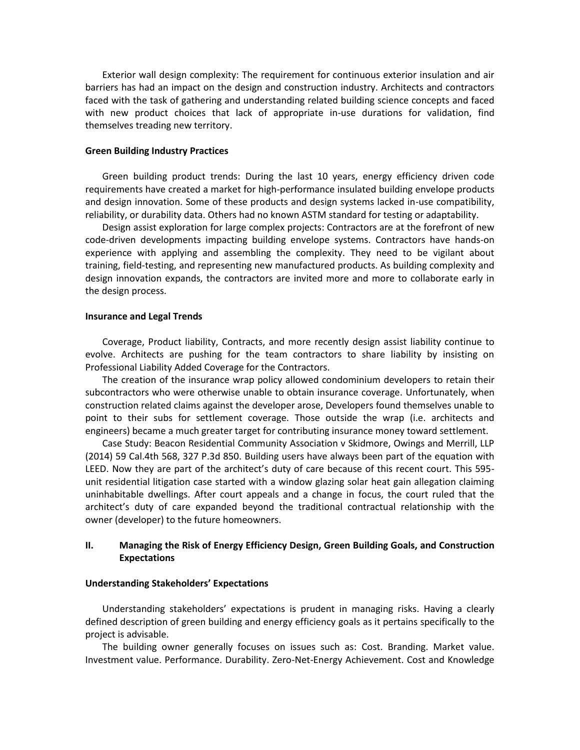Exterior wall design complexity: The requirement for continuous exterior insulation and air barriers has had an impact on the design and construction industry. Architects and contractors faced with the task of gathering and understanding related building science concepts and faced with new product choices that lack of appropriate in-use durations for validation, find themselves treading new territory.

#### **Green Building Industry Practices**

Green building product trends: During the last 10 years, energy efficiency driven code requirements have created a market for high-performance insulated building envelope products and design innovation. Some of these products and design systems lacked in-use compatibility, reliability, or durability data. Others had no known ASTM standard for testing or adaptability.

Design assist exploration for large complex projects: Contractors are at the forefront of new code-driven developments impacting building envelope systems. Contractors have hands-on experience with applying and assembling the complexity. They need to be vigilant about training, field-testing, and representing new manufactured products. As building complexity and design innovation expands, the contractors are invited more and more to collaborate early in the design process.

#### **Insurance and Legal Trends**

Coverage, Product liability, Contracts, and more recently design assist liability continue to evolve. Architects are pushing for the team contractors to share liability by insisting on Professional Liability Added Coverage for the Contractors.

The creation of the insurance wrap policy allowed condominium developers to retain their subcontractors who were otherwise unable to obtain insurance coverage. Unfortunately, when construction related claims against the developer arose, Developers found themselves unable to point to their subs for settlement coverage. Those outside the wrap (i.e. architects and engineers) became a much greater target for contributing insurance money toward settlement.

Case Study: Beacon Residential Community Association v Skidmore, Owings and Merrill, LLP (2014) 59 Cal.4th 568, 327 P.3d 850. Building users have always been part of the equation with LEED. Now they are part of the architect's duty of care because of this recent court. This 595 unit residential litigation case started with a window glazing solar heat gain allegation claiming uninhabitable dwellings. After court appeals and a change in focus, the court ruled that the architect's duty of care expanded beyond the traditional contractual relationship with the owner (developer) to the future homeowners.

#### **II. Managing the Risk of Energy Efficiency Design, Green Building Goals, and Construction Expectations**

#### **Understanding Stakeholders' Expectations**

Understanding stakeholders' expectations is prudent in managing risks. Having a clearly defined description of green building and energy efficiency goals as it pertains specifically to the project is advisable.

The building owner generally focuses on issues such as: Cost. Branding. Market value. Investment value. Performance. Durability. Zero-Net-Energy Achievement. Cost and Knowledge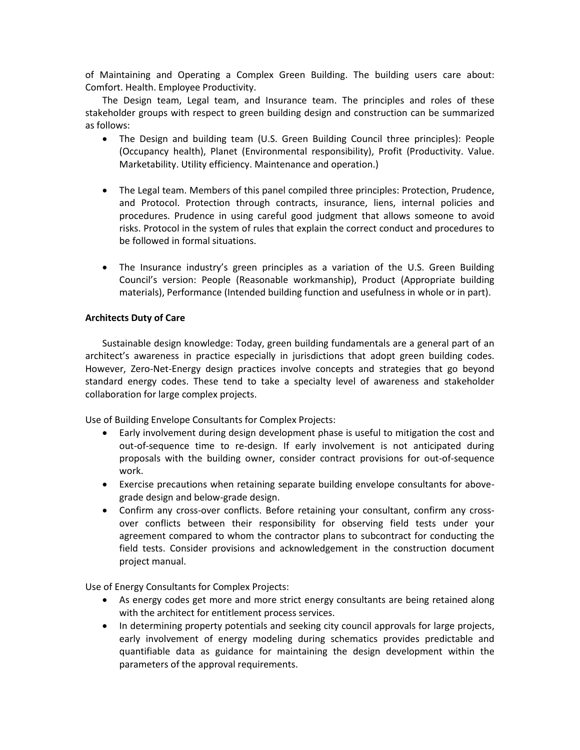of Maintaining and Operating a Complex Green Building. The building users care about: Comfort. Health. Employee Productivity.

The Design team, Legal team, and Insurance team. The principles and roles of these stakeholder groups with respect to green building design and construction can be summarized as follows:

- The Design and building team (U.S. Green Building Council three principles): People (Occupancy health), Planet (Environmental responsibility), Profit (Productivity. Value. Marketability. Utility efficiency. Maintenance and operation.)
- The Legal team. Members of this panel compiled three principles: Protection, Prudence, and Protocol. Protection through contracts, insurance, liens, internal policies and procedures. Prudence in using careful good judgment that allows someone to avoid risks. Protocol in the system of rules that explain the correct conduct and procedures to be followed in formal situations.
- The Insurance industry's green principles as a variation of the U.S. Green Building Council's version: People (Reasonable workmanship), Product (Appropriate building materials), Performance (Intended building function and usefulness in whole or in part).

# **Architects Duty of Care**

Sustainable design knowledge: Today, green building fundamentals are a general part of an architect's awareness in practice especially in jurisdictions that adopt green building codes. However, Zero-Net-Energy design practices involve concepts and strategies that go beyond standard energy codes. These tend to take a specialty level of awareness and stakeholder collaboration for large complex projects.

Use of Building Envelope Consultants for Complex Projects:

- Early involvement during design development phase is useful to mitigation the cost and out-of-sequence time to re-design. If early involvement is not anticipated during proposals with the building owner, consider contract provisions for out-of-sequence work.
- Exercise precautions when retaining separate building envelope consultants for abovegrade design and below-grade design.
- Confirm any cross-over conflicts. Before retaining your consultant, confirm any crossover conflicts between their responsibility for observing field tests under your agreement compared to whom the contractor plans to subcontract for conducting the field tests. Consider provisions and acknowledgement in the construction document project manual.

Use of Energy Consultants for Complex Projects:

- As energy codes get more and more strict energy consultants are being retained along with the architect for entitlement process services.
- In determining property potentials and seeking city council approvals for large projects, early involvement of energy modeling during schematics provides predictable and quantifiable data as guidance for maintaining the design development within the parameters of the approval requirements.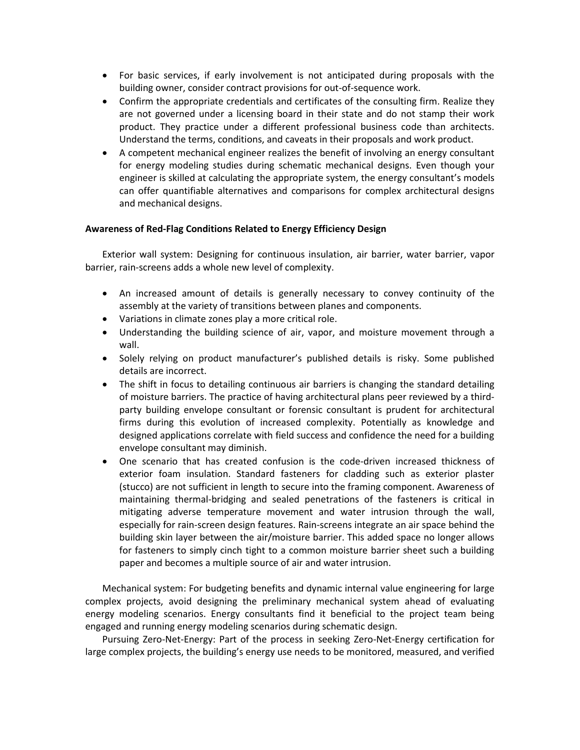- For basic services, if early involvement is not anticipated during proposals with the building owner, consider contract provisions for out-of-sequence work.
- Confirm the appropriate credentials and certificates of the consulting firm. Realize they are not governed under a licensing board in their state and do not stamp their work product. They practice under a different professional business code than architects. Understand the terms, conditions, and caveats in their proposals and work product.
- A competent mechanical engineer realizes the benefit of involving an energy consultant for energy modeling studies during schematic mechanical designs. Even though your engineer is skilled at calculating the appropriate system, the energy consultant's models can offer quantifiable alternatives and comparisons for complex architectural designs and mechanical designs.

### **Awareness of Red-Flag Conditions Related to Energy Efficiency Design**

Exterior wall system: Designing for continuous insulation, air barrier, water barrier, vapor barrier, rain-screens adds a whole new level of complexity.

- An increased amount of details is generally necessary to convey continuity of the assembly at the variety of transitions between planes and components.
- Variations in climate zones play a more critical role.
- Understanding the building science of air, vapor, and moisture movement through a wall.
- Solely relying on product manufacturer's published details is risky. Some published details are incorrect.
- The shift in focus to detailing continuous air barriers is changing the standard detailing of moisture barriers. The practice of having architectural plans peer reviewed by a thirdparty building envelope consultant or forensic consultant is prudent for architectural firms during this evolution of increased complexity. Potentially as knowledge and designed applications correlate with field success and confidence the need for a building envelope consultant may diminish.
- One scenario that has created confusion is the code-driven increased thickness of exterior foam insulation. Standard fasteners for cladding such as exterior plaster (stucco) are not sufficient in length to secure into the framing component. Awareness of maintaining thermal-bridging and sealed penetrations of the fasteners is critical in mitigating adverse temperature movement and water intrusion through the wall, especially for rain-screen design features. Rain-screens integrate an air space behind the building skin layer between the air/moisture barrier. This added space no longer allows for fasteners to simply cinch tight to a common moisture barrier sheet such a building paper and becomes a multiple source of air and water intrusion.

Mechanical system: For budgeting benefits and dynamic internal value engineering for large complex projects, avoid designing the preliminary mechanical system ahead of evaluating energy modeling scenarios. Energy consultants find it beneficial to the project team being engaged and running energy modeling scenarios during schematic design.

Pursuing Zero-Net-Energy: Part of the process in seeking Zero-Net-Energy certification for large complex projects, the building's energy use needs to be monitored, measured, and verified